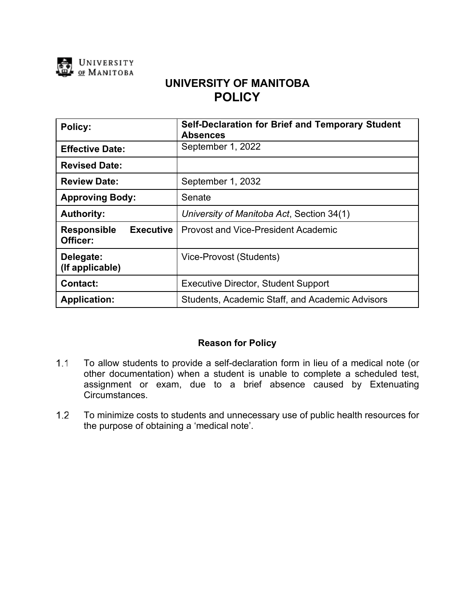

# **UNIVERSITY OF MANITOBA POLICY**

| Policy:                                            | <b>Self-Declaration for Brief and Temporary Student</b><br><b>Absences</b> |
|----------------------------------------------------|----------------------------------------------------------------------------|
| <b>Effective Date:</b>                             | September 1, 2022                                                          |
| <b>Revised Date:</b>                               |                                                                            |
| <b>Review Date:</b>                                | September 1, 2032                                                          |
| <b>Approving Body:</b>                             | Senate                                                                     |
| <b>Authority:</b>                                  | University of Manitoba Act, Section 34(1)                                  |
| <b>Executive</b><br><b>Responsible</b><br>Officer: | <b>Provost and Vice-President Academic</b>                                 |
| Delegate:<br>(If applicable)                       | Vice-Provost (Students)                                                    |
| <b>Contact:</b>                                    | <b>Executive Director, Student Support</b>                                 |
| <b>Application:</b>                                | Students, Academic Staff, and Academic Advisors                            |

# **Reason for Policy**

- $1.1$ To allow students to provide a self-declaration form in lieu of a medical note (or other documentation) when a student is unable to complete a scheduled test, assignment or exam, due to a brief absence caused by Extenuating Circumstances.
- $1.2$ To minimize costs to students and unnecessary use of public health resources for the purpose of obtaining a 'medical note'.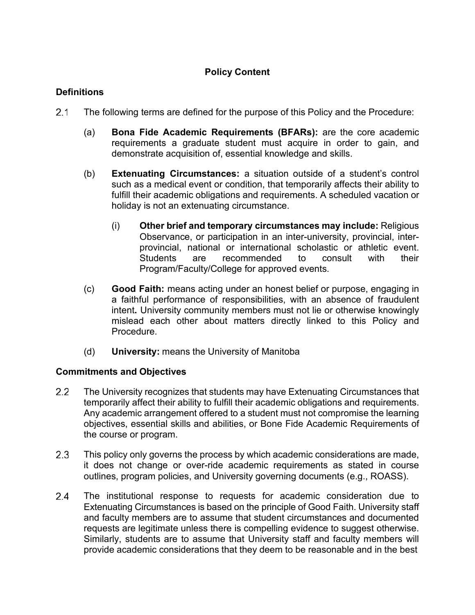# **Policy Content**

### **Definitions**

- $2.1$ The following terms are defined for the purpose of this Policy and the Procedure:
	- (a) **Bona Fide Academic Requirements (BFARs):** are the core academic requirements a graduate student must acquire in order to gain, and demonstrate acquisition of, essential knowledge and skills.
	- (b) **Extenuating Circumstances:** a situation outside of a student's control such as a medical event or condition, that temporarily affects their ability to fulfill their academic obligations and requirements. A scheduled vacation or holiday is not an extenuating circumstance.
		- (i) **Other brief and temporary circumstances may include:** Religious Observance, or participation in an inter-university, provincial, interprovincial, national or international scholastic or athletic event. Students are recommended to consult with their Program/Faculty/College for approved events.
	- (c) **Good Faith:** means acting under an honest belief or purpose, engaging in a faithful performance of responsibilities, with an absence of fraudulent intent**.** University community members must not lie or otherwise knowingly mislead each other about matters directly linked to this Policy and Procedure.
	- (d) **University:** means the University of Manitoba

#### **Commitments and Objectives**

- $2.2$ The University recognizes that students may have Extenuating Circumstances that temporarily affect their ability to fulfill their academic obligations and requirements. Any academic arrangement offered to a student must not compromise the learning objectives, essential skills and abilities, or Bone Fide Academic Requirements of the course or program.
- $2.3$ This policy only governs the process by which academic considerations are made, it does not change or over-ride academic requirements as stated in course outlines, program policies, and University governing documents (e.g., ROASS).
- $2.4$ The institutional response to requests for academic consideration due to Extenuating Circumstances is based on the principle of Good Faith. University staff and faculty members are to assume that student circumstances and documented requests are legitimate unless there is compelling evidence to suggest otherwise. Similarly, students are to assume that University staff and faculty members will provide academic considerations that they deem to be reasonable and in the best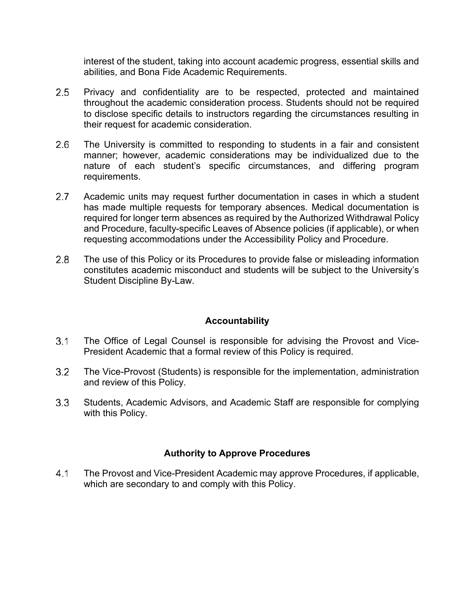interest of the student, taking into account academic progress, essential skills and abilities, and Bona Fide Academic Requirements.

- $2.5$ Privacy and confidentiality are to be respected, protected and maintained throughout the academic consideration process. Students should not be required to disclose specific details to instructors regarding the circumstances resulting in their request for academic consideration.
- $2.6$ The University is committed to responding to students in a fair and consistent manner; however, academic considerations may be individualized due to the nature of each student's specific circumstances, and differing program requirements.
- $2.7$ Academic units may request further documentation in cases in which a student has made multiple requests for temporary absences. Medical documentation is required for longer term absences as required by the Authorized Withdrawal Policy and Procedure, faculty-specific Leaves of Absence policies (if applicable), or when requesting accommodations under the Accessibility Policy and Procedure.
- $2.8$ The use of this Policy or its Procedures to provide false or misleading information constitutes academic misconduct and students will be subject to the University's Student Discipline By-Law.

#### **Accountability**

- $3.1$ The Office of Legal Counsel is responsible for advising the Provost and Vice-President Academic that a formal review of this Policy is required.
- $3.2$ The Vice-Provost (Students) is responsible for the implementation, administration and review of this Policy.
- $3.3$ Students, Academic Advisors, and Academic Staff are responsible for complying with this Policy.

# **Authority to Approve Procedures**

 $4.1$ The Provost and Vice-President Academic may approve Procedures, if applicable, which are secondary to and comply with this Policy.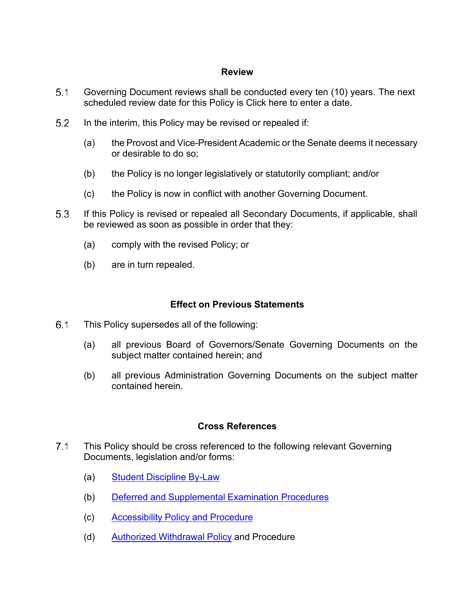#### **Review**

- $5.1$ Governing Document reviews shall be conducted every ten (10) years. The next scheduled review date for this Policy is Click here to enter a date.
- $5.2$ In the interim, this Policy may be revised or repealed if:
	- (a) the Provost and Vice-President Academic or the Senate deems it necessary or desirable to do so;
	- (b) the Policy is no longer legislatively or statutorily compliant; and/or
	- (c) the Policy is now in conflict with another Governing Document.
- 5.3 If this Policy is revised or repealed all Secondary Documents, if applicable, shall be reviewed as soon as possible in order that they:
	- (a) comply with the revised Policy; or
	- (b) are in turn repealed.

#### **Effect on Previous Statements**

- $6.1$ This Policy supersedes all of the following:
	- (a) all previous Board of Governors/Senate Governing Documents on the subject matter contained herein; and
	- (b) all previous Administration Governing Documents on the subject matter contained herein.

#### **Cross References**

- $7.1$ This Policy should be cross referenced to the following relevant Governing Documents, legislation and/or forms:
	- (a) Student [Discipline](https://umanitoba.ca/admin/governance/governing_documents/students/student_discipline.html) By-Law
	- (b) Deferred and [Supplemental](https://umanitoba.ca/admin/governance/media/Deferred_and_Supplemental_Examinations_Procedures_-_2013_11_25_RF.pdf) Examination Procedures
	- (c) [Accessibility](https://umanitoba.ca/admin/governance/governing_documents/students/accessibility.html) Policy and Procedure
	- (d) Authorized [Withdrawal](https://umanitoba.ca/admin/governance/governing_documents/academic/authorized_withdrawal.html) Policy and Procedure